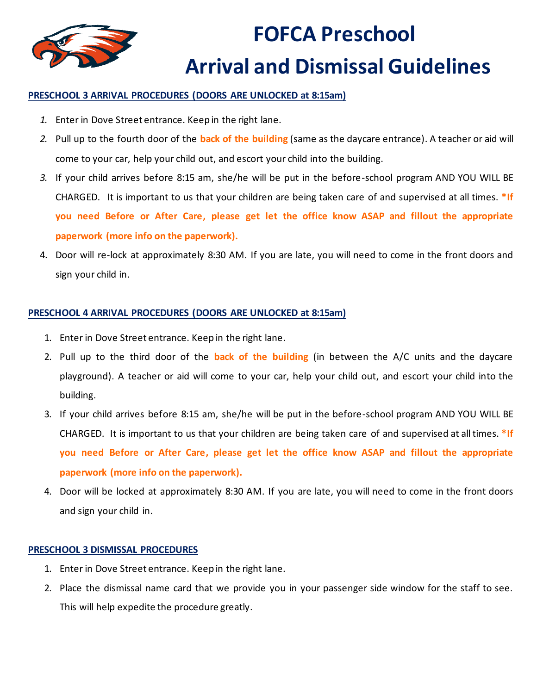

# **FOFCA Preschool Arrival and Dismissal Guidelines**

#### **PRESCHOOL 3 ARRIVAL PROCEDURES (DOORS ARE UNLOCKED at 8:15am)**

- *1.* Enter in Dove Street entrance. Keep in the right lane.
- *2.* Pull up to the fourth door of the **back of the building** (same as the daycare entrance). A teacher or aid will come to your car, help your child out, and escort your child into the building.
- *3.* If your child arrives before 8:15 am, she/he will be put in the before-school program AND YOU WILL BE CHARGED. It is important to us that your children are being taken care of and supervised at all times. **\*If you need Before or After Care, please get let the office know ASAP and fillout the appropriate paperwork (more info on the paperwork).**
- 4. Door will re-lock at approximately 8:30 AM. If you are late, you will need to come in the front doors and sign your child in.

### **PRESCHOOL 4 ARRIVAL PROCEDURES (DOORS ARE UNLOCKED at 8:15am)**

- 1. Enter in Dove Street entrance. Keep in the right lane.
- 2. Pull up to the third door of the **back of the building** (in between the A/C units and the daycare playground). A teacher or aid will come to your car, help your child out, and escort your child into the building.
- 3. If your child arrives before 8:15 am, she/he will be put in the before-school program AND YOU WILL BE CHARGED. It is important to us that your children are being taken care of and supervised at all times. **\*If you need Before or After Care, please get let the office know ASAP and fillout the appropriate paperwork (more info on the paperwork).**
- 4. Door will be locked at approximately 8:30 AM. If you are late, you will need to come in the front doors and sign your child in.

#### **PRESCHOOL 3 DISMISSAL PROCEDURES**

- 1. Enter in Dove Street entrance. Keep in the right lane.
- 2. Place the dismissal name card that we provide you in your passenger side window for the staff to see. This will help expedite the procedure greatly.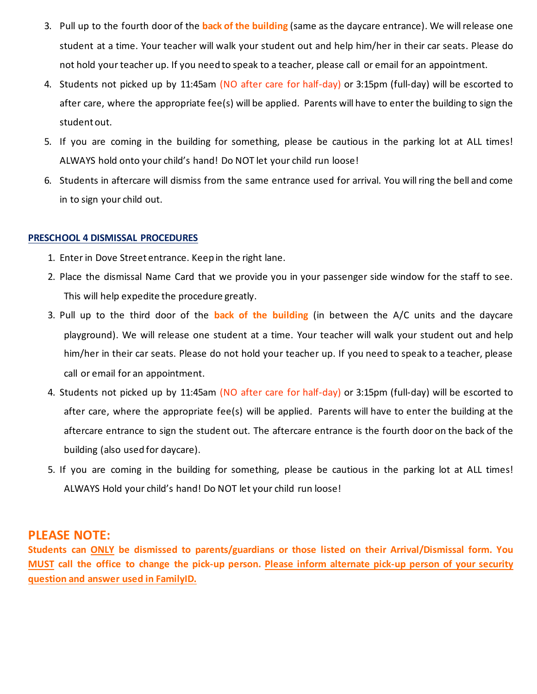- 3. Pull up to the fourth door of the **back of the building** (same as the daycare entrance). We will release one student at a time. Your teacher will walk your student out and help him/her in their car seats. Please do not hold your teacher up. If you need to speak to a teacher, please call or email for an appointment.
- 4. Students not picked up by 11:45am (NO after care for half-day) or 3:15pm (full-day) will be escorted to after care, where the appropriate fee(s) will be applied. Parents will have to enter the building to sign the student out.
- 5. If you are coming in the building for something, please be cautious in the parking lot at ALL times! ALWAYS hold onto your child's hand! Do NOT let your child run loose!
- 6. Students in aftercare will dismiss from the same entrance used for arrival. You will ring the bell and come in to sign your child out.

#### **PRESCHOOL 4 DISMISSAL PROCEDURES**

- 1. Enter in Dove Street entrance. Keep in the right lane.
- 2. Place the dismissal Name Card that we provide you in your passenger side window for the staff to see. This will help expedite the procedure greatly.
- 3. Pull up to the third door of the **back of the building** (in between the A/C units and the daycare playground). We will release one student at a time. Your teacher will walk your student out and help him/her in their car seats. Please do not hold your teacher up. If you need to speak to a teacher, please call or email for an appointment.
- 4. Students not picked up by 11:45am (NO after care for half-day) or 3:15pm (full-day) will be escorted to after care, where the appropriate fee(s) will be applied. Parents will have to enter the building at the aftercare entrance to sign the student out. The aftercare entrance is the fourth door on the back of the building (also used for daycare).
- 5. If you are coming in the building for something, please be cautious in the parking lot at ALL times! ALWAYS Hold your child's hand! Do NOT let your child run loose!

## **PLEASE NOTE:**

**Students can ONLY be dismissed to parents/guardians or those listed on their Arrival/Dismissal form. You MUST call the office to change the pick-up person. Please inform alternate pick-up person of your security question and answer used in FamilyID.**